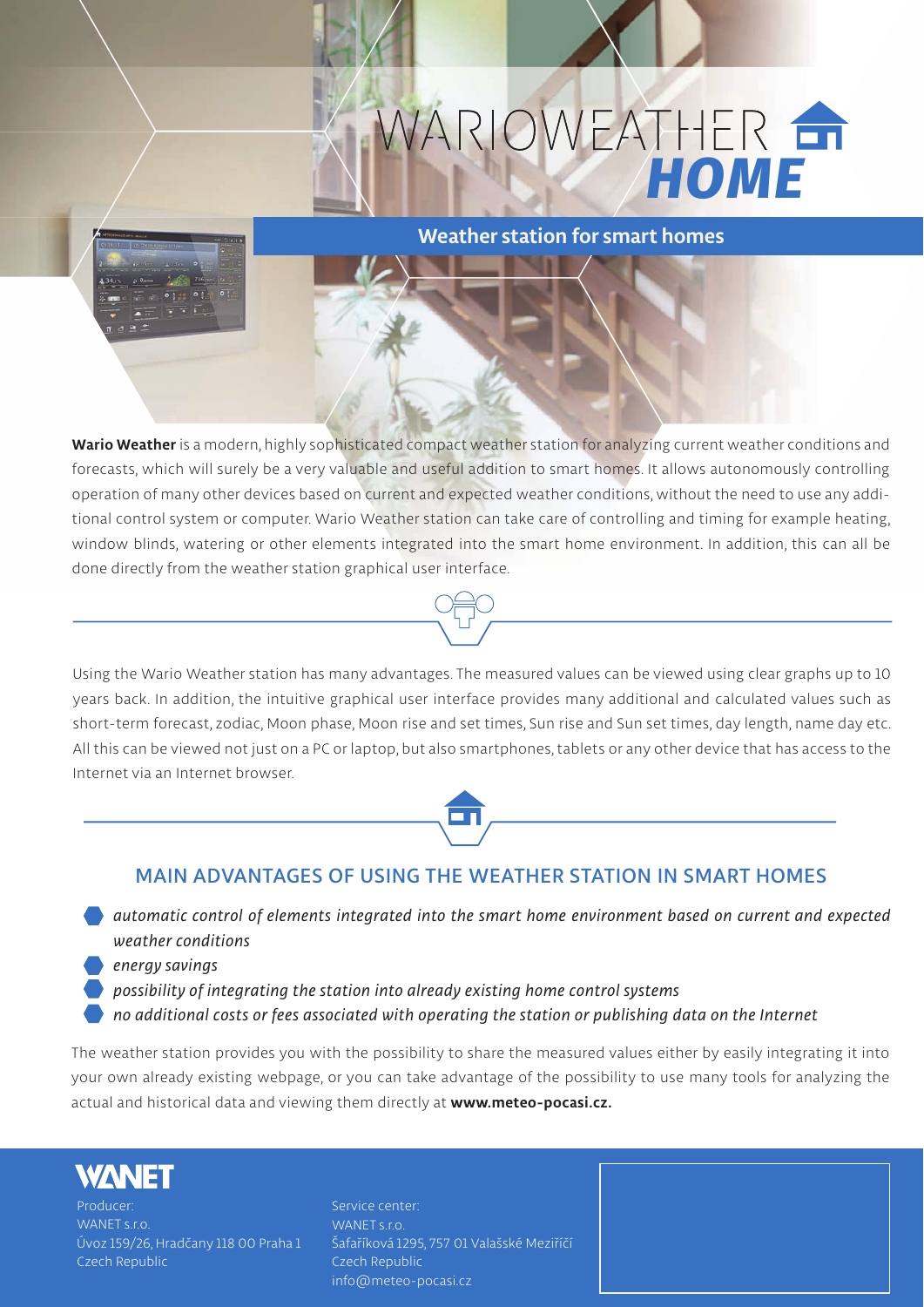## WARIOWEATHER



## **Weather station for smart homes**

**Wario Weather is a modern, highly sophisticated compact weather station for analyzing current weather conditions and forecasts, which will surely be a very valuable and useful addition to smart homes. It allows autonomously controlling operation of many other devices based on current and expected weather conditions, without the need to use any additional control system or computer. Wario Weather station can take care of controlling and timing for example heating, window blinds, watering or other elements integrated into the smart home environment. In addition, this can all be done directly from the weather station graphical user interface.**





## **MAIN ADVANTAGES OF USING THE WEATHER STATION IN SMART HOMES**

- *automatic control of elements integrated into the smart home environment based on current and expected weather conditions*
- *energy savings*
- *possibility of integrating the station into already existing home control systems*
- *no additional costs or fees associated with operating the station or publishing data on the Internet*

**The weather station provides you with the possibility to share the measured values either by easily integrating it into your own already existing webpage, or you can take advantage of the possibility to use many tools for analyzing the actual and historical data and viewing them directly at www.meteo-pocasi.cz.**



**Producer: WANET s.r.o. Úvoz 159/26, Hradčany 118 00 Praha 1 Czech Republic**

**Service center: WANET s.r.o. Šafaříková 1295, 757 01 Valašské Meziříčí Czech Republic info@meteo-pocasi.cz**